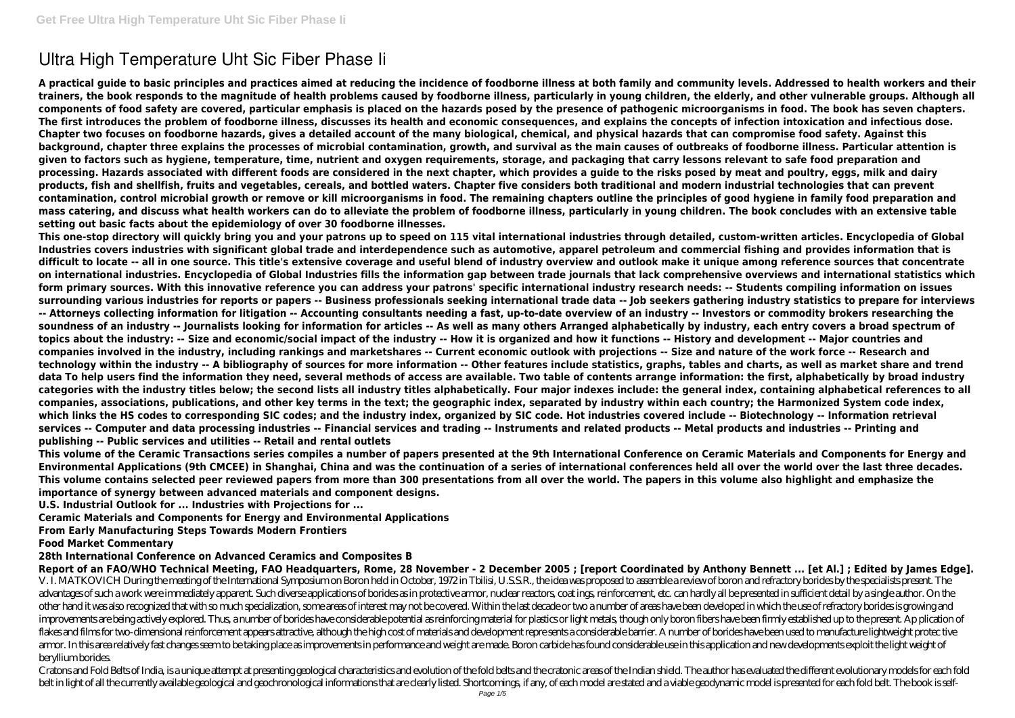# **Ultra High Temperature Uht Sic Fiber Phase Ii**

**A practical guide to basic principles and practices aimed at reducing the incidence of foodborne illness at both family and community levels. Addressed to health workers and their trainers, the book responds to the magnitude of health problems caused by foodborne illness, particularly in young children, the elderly, and other vulnerable groups. Although all components of food safety are covered, particular emphasis is placed on the hazards posed by the presence of pathogenic microorganisms in food. The book has seven chapters. The first introduces the problem of foodborne illness, discusses its health and economic consequences, and explains the concepts of infection intoxication and infectious dose. Chapter two focuses on foodborne hazards, gives a detailed account of the many biological, chemical, and physical hazards that can compromise food safety. Against this background, chapter three explains the processes of microbial contamination, growth, and survival as the main causes of outbreaks of foodborne illness. Particular attention is given to factors such as hygiene, temperature, time, nutrient and oxygen requirements, storage, and packaging that carry lessons relevant to safe food preparation and processing. Hazards associated with different foods are considered in the next chapter, which provides a guide to the risks posed by meat and poultry, eggs, milk and dairy products, fish and shellfish, fruits and vegetables, cereals, and bottled waters. Chapter five considers both traditional and modern industrial technologies that can prevent contamination, control microbial growth or remove or kill microorganisms in food. The remaining chapters outline the principles of good hygiene in family food preparation and mass catering, and discuss what health workers can do to alleviate the problem of foodborne illness, particularly in young children. The book concludes with an extensive table setting out basic facts about the epidemiology of over 30 foodborne illnesses.**

**Report of an FAO/WHO Technical Meeting, FAO Headquarters, Rome, 28 November - 2 December 2005 ; [report Coordinated by Anthony Bennett ... [et Al.] ; Edited by James Edge].** V. I. MATKOVICH During the meeting of the International Symposium on Boron held in October, 1972 in Tbilisi, U.S.S.R., the idea was proposed to assemble a review of boron and refractory borides by the specialists present. advantages of such a work were immediately apparent. Such diverse applications of borides as in protective armor, nuclear reactors, coat ings, reinforcement, etc. can hardly all be presented in sufficient detail by a singl other hand it was also recognized that with so much specialization, some areas of interest may not be covered. Within the last decade or two a number of areas have been developed in which the use of refractory borides is g improvements are being actively explored. Thus, a number of borides have considerable potential as reinforcing material for plastics or light metals, though only boron fibers have been firmly established up to the present.

**This one-stop directory will quickly bring you and your patrons up to speed on 115 vital international industries through detailed, custom-written articles. Encyclopedia of Global Industries covers industries with significant global trade and interdependence such as automotive, apparel petroleum and commercial fishing and provides information that is difficult to locate -- all in one source. This title's extensive coverage and useful blend of industry overview and outlook make it unique among reference sources that concentrate on international industries. Encyclopedia of Global Industries fills the information gap between trade journals that lack comprehensive overviews and international statistics which form primary sources. With this innovative reference you can address your patrons' specific international industry research needs: -- Students compiling information on issues surrounding various industries for reports or papers -- Business professionals seeking international trade data -- Job seekers gathering industry statistics to prepare for interviews -- Attorneys collecting information for litigation -- Accounting consultants needing a fast, up-to-date overview of an industry -- Investors or commodity brokers researching the soundness of an industry -- Journalists looking for information for articles -- As well as many others Arranged alphabetically by industry, each entry covers a broad spectrum of topics about the industry: -- Size and economic/social impact of the industry -- How it is organized and how it functions -- History and development -- Major countries and companies involved in the industry, including rankings and marketshares -- Current economic outlook with projections -- Size and nature of the work force -- Research and technology within the industry -- A bibliography of sources for more information -- Other features include statistics, graphs, tables and charts, as well as market share and trend data To help users find the information they need, several methods of access are available. Two table of contents arrange information: the first, alphabetically by broad industry categories with the industry titles below; the second lists all industry titles alphabetically. Four major indexes include: the general index, containing alphabetical references to all companies, associations, publications, and other key terms in the text; the geographic index, separated by industry within each country; the Harmonized System code index, which links the HS codes to corresponding SIC codes; and the industry index, organized by SIC code. Hot industries covered include -- Biotechnology -- Information retrieval services -- Computer and data processing industries -- Financial services and trading -- Instruments and related products -- Metal products and industries -- Printing and publishing -- Public services and utilities -- Retail and rental outlets**

flakes and films for two-dimensional reinforcement appears attractive, although the high cost of materials and development represents a considerable barrier. A number of borides have been used to manufacture lightweight pr armor. In this area relatively fast changes seem to be taking place as improvements in performance and weight are made. Boron carbide has found considerable use in this application and new developments exploit the light we beryllium borides.

Cratons and Fold Belts of India, is a unique attempt at presenting geological characteristics and evolution of the fold belts and the cratonic areas of the Indian shield. The author has evaluated the different evolutionary belt in light of all the currently available geological and geochronological informations that are clearly listed. Shortcomings, if any, of each model are stated and a viable geodynamic model is presented for each fold bel

**This volume of the Ceramic Transactions series compiles a number of papers presented at the 9th International Conference on Ceramic Materials and Components for Energy and Environmental Applications (9th CMCEE) in Shanghai, China and was the continuation of a series of international conferences held all over the world over the last three decades. This volume contains selected peer reviewed papers from more than 300 presentations from all over the world. The papers in this volume also highlight and emphasize the importance of synergy between advanced materials and component designs.**

**U.S. Industrial Outlook for ... Industries with Projections for ...**

**Ceramic Materials and Components for Energy and Environmental Applications**

**From Early Manufacturing Steps Towards Modern Frontiers**

**Food Market Commentary**

**28th International Conference on Advanced Ceramics and Composites B**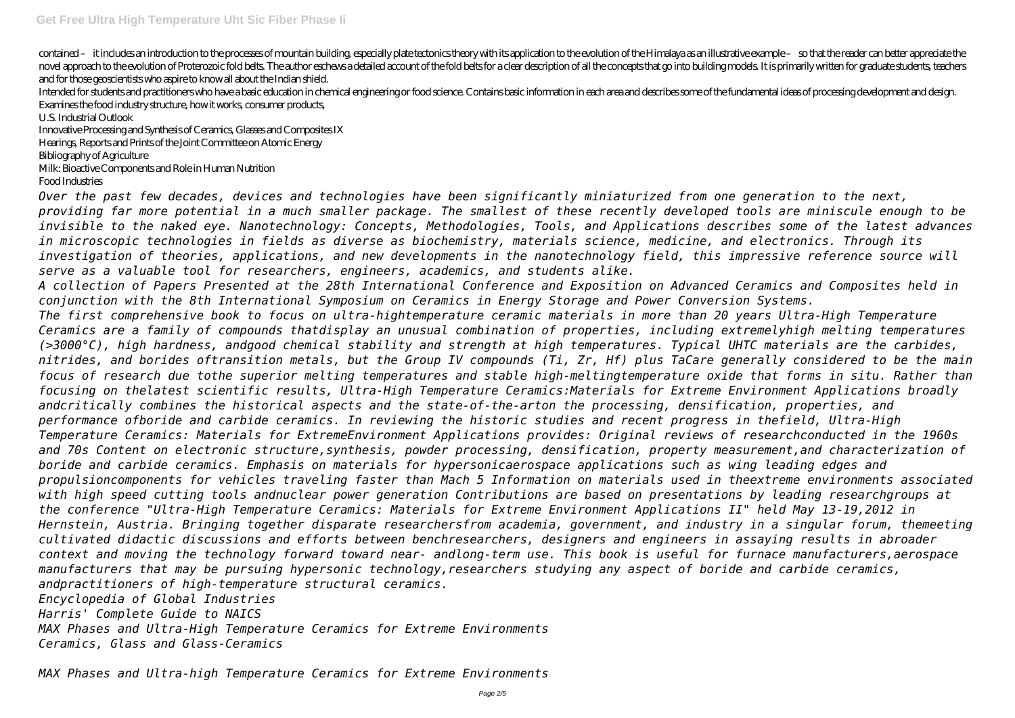contained – it includes an introduction to the processes of mountain building, especially plate tectonics theory with its application to the evolution of the Himalaya as an illustrative example – so that the reader can bet novel approach to the evolution of Proterozoic fold belts. The author eschews a detailed account of the fold belts for a clear description of all the concepts that go into building models. It is primarily written for gradu and for those geoscientists who aspire to know all about the Indian shield.

Intended for students and practitioners who have a basic education in chemical engineering or food science. Contains basic information in each area and describes some of the fundamental ideas of processing development and Examines the food industry structure, how it works, consumer products,

U.S. Industrial Outlook

Innovative Processing and Synthesis of Ceramics, Glasses and Composites IX

Hearings, Reports and Prints of the Joint Committee on Atomic Energy

Bibliography of Agriculture

Milk: Bioactive Components and Role in Human Nutrition

Food Industries

*serve as a valuable tool for researchers, engineers, academics, and students alike.*

*Over the past few decades, devices and technologies have been significantly miniaturized from one generation to the next, providing far more potential in a much smaller package. The smallest of these recently developed tools are miniscule enough to be invisible to the naked eye. Nanotechnology: Concepts, Methodologies, Tools, and Applications describes some of the latest advances in microscopic technologies in fields as diverse as biochemistry, materials science, medicine, and electronics. Through its investigation of theories, applications, and new developments in the nanotechnology field, this impressive reference source will A collection of Papers Presented at the 28th International Conference and Exposition on Advanced Ceramics and Composites held in conjunction with the 8th International Symposium on Ceramics in Energy Storage and Power Conversion Systems. The first comprehensive book to focus on ultra-hightemperature ceramic materials in more than 20 years Ultra-High Temperature Ceramics are a family of compounds thatdisplay an unusual combination of properties, including extremelyhigh melting temperatures (>3000°C), high hardness, andgood chemical stability and strength at high temperatures. Typical UHTC materials are the carbides, nitrides, and borides oftransition metals, but the Group IV compounds (Ti, Zr, Hf) plus TaCare generally considered to be the main focus of research due tothe superior melting temperatures and stable high-meltingtemperature oxide that forms in situ. Rather than focusing on thelatest scientific results, Ultra-High Temperature Ceramics:Materials for Extreme Environment Applications broadly andcritically combines the historical aspects and the state-of-the-arton the processing, densification, properties, and performance ofboride and carbide ceramics. In reviewing the historic studies and recent progress in thefield, Ultra-High Temperature Ceramics: Materials for ExtremeEnvironment Applications provides: Original reviews of researchconducted in the 1960s and 70s Content on electronic structure,synthesis, powder processing, densification, property measurement,and characterization of boride and carbide ceramics. Emphasis on materials for hypersonicaerospace applications such as wing leading edges and propulsioncomponents for vehicles traveling faster than Mach 5 Information on materials used in theextreme environments associated with high speed cutting tools andnuclear power generation Contributions are based on presentations by leading researchgroups at the conference "Ultra-High Temperature Ceramics: Materials for Extreme Environment Applications II" held May 13-19,2012 in Hernstein, Austria. Bringing together disparate researchersfrom academia, government, and industry in a singular forum, themeeting cultivated didactic discussions and efforts between benchresearchers, designers and engineers in assaying results in abroader context and moving the technology forward toward near- andlong-term use. This book is useful for furnace manufacturers,aerospace manufacturers that may be pursuing hypersonic technology,researchers studying any aspect of boride and carbide ceramics, andpractitioners of high-temperature structural ceramics. Encyclopedia of Global Industries Harris' Complete Guide to NAICS MAX Phases and Ultra-High Temperature Ceramics for Extreme Environments*

*Ceramics, Glass and Glass-Ceramics*

*MAX Phases and Ultra-high Temperature Ceramics for Extreme Environments*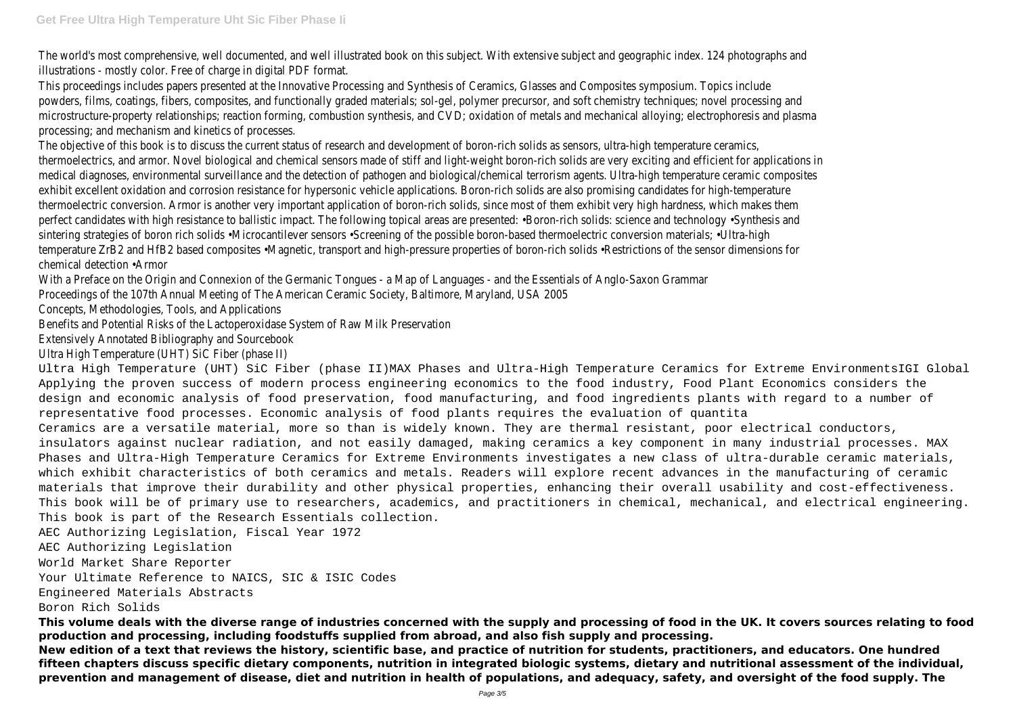The world's most comprehensive, well documented, and well illustrated book on this subject. With extensive subject illustrations - mostly color. Free of charge in digital PDF format.

This proceedings includes papers presented at the Innovative Processing and Synthesis of Ceramics, Glasses and Cor powders, films, coatings, fibers, composites, and functionally graded materials; sol-gel, polymer precursor, and soft c microstructure-property relationships; reaction forming, combustion synthesis, and CVD; oxidation of metals and med processing; and mechanism and kinetics of processes.

The objective of this book is to discuss the current status of research and development of boron-rich solids as sens thermoelectrics, and armor. Novel biological and chemical sensors made of stiff and light-weight boron-rich solids are medical diagnoses, environmental surveillance and the detection of pathogen and biological/chemical terrorism agents exhibit excellent oxidation and corrosion resistance for hypersonic vehicle applications. Boron-rich solids are also pro thermoelectric conversion. Armor is another very important application of boron-rich solids, since most of them exhi perfect candidates with high resistance to ballistic impact. The following topical areas are presented: •Boron-rich so sintering strategies of boron rich solids •Microcantilever sensors •Screening of the possible boron-based thermoelec temperature ZrB2 and HfB2 based composites •Magnetic, transport and high-pressure properties of boron-rich solid chemical detection •Armor

With a Preface on the Origin and Connexion of the Germanic Tongues - a Map of Languages - and the Essentials of Proceedings of the 107th Annual Meeting of The American Ceramic Society, Baltimore, Maryland, USA 2005 Concepts, Methodologies, Tools, and Applications

Benefits and Potential Risks of the Lactoperoxidase System of Raw Milk Preservation Extensively Annotated Bibliography and Sourcebook

Ultra High Temperature (UHT) SiC Fiber (phase II)

Ultra High Temperature (UHT) SiC Fiber (phase II)MAX Phases and Ultra-High Temperature Ceramics for Extreme EnvironmentsIGI Global Applying the proven success of modern process engineering economics to the food industry, Food Plant Economics considers the design and economic analysis of food preservation, food manufacturing, and food ingredients plants with regard to a number of representative food processes. Economic analysis of food plants requires the evaluation of quantita Ceramics are a versatile material, more so than is widely known. They are thermal resistant, poor electrical conductors, insulators against nuclear radiation, and not easily damaged, making ceramics a key component in many industrial processes. MAX Phases and Ultra-High Temperature Ceramics for Extreme Environments investigates a new class of ultra-durable ceramic materials, which exhibit characteristics of both ceramics and metals. Readers will explore recent advances in the manufacturing of ceramic materials that improve their durability and other physical properties, enhancing their overall usability and cost-effectiveness. This book will be of primary use to researchers, academics, and practitioners in chemical, mechanical, and electrical engineering. This book is part of the Research Essentials collection.

AEC Authorizing Legislation, Fiscal Year 1972

AEC Authorizing Legislation

World Market Share Reporter

Your Ultimate Reference to NAICS, SIC & ISIC Codes

Engineered Materials Abstracts

Boron Rich Solids

**This volume deals with the diverse range of industries concerned with the supply and processing of food in the UK. It covers sources relating to food production and processing, including foodstuffs supplied from abroad, and also fish supply and processing.**

**New edition of a text that reviews the history, scientific base, and practice of nutrition for students, practitioners, and educators. One hundred fifteen chapters discuss specific dietary components, nutrition in integrated biologic systems, dietary and nutritional assessment of the individual, prevention and management of disease, diet and nutrition in health of populations, and adequacy, safety, and oversight of the food supply. The**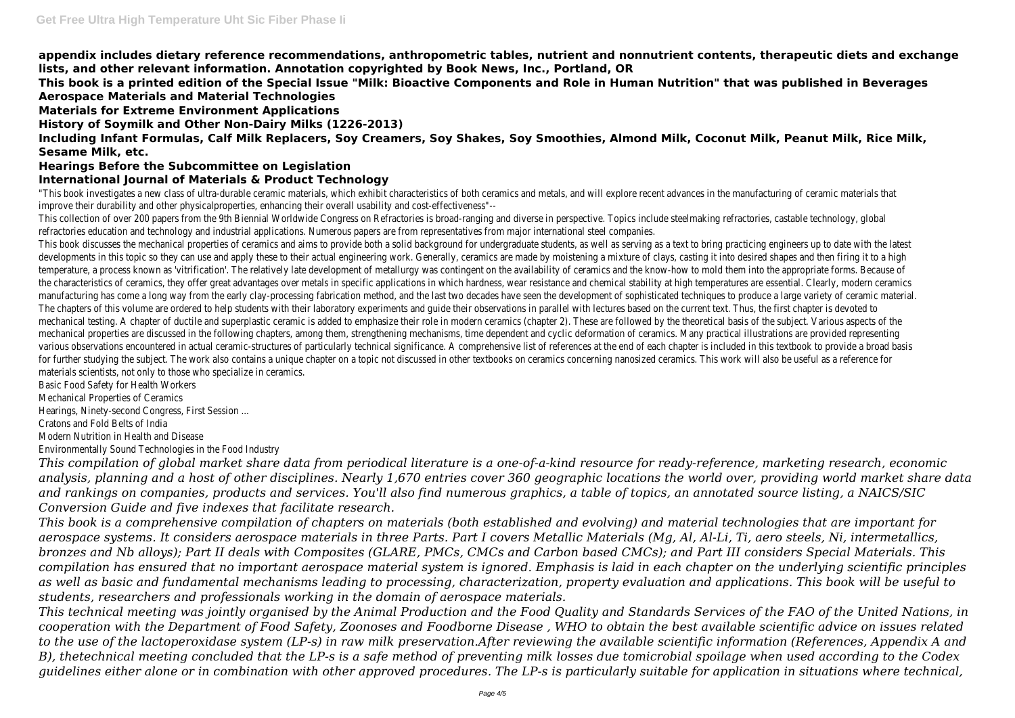**appendix includes dietary reference recommendations, anthropometric tables, nutrient and nonnutrient contents, therapeutic diets and exchange lists, and other relevant information. Annotation copyrighted by Book News, Inc., Portland, OR**

**This book is a printed edition of the Special Issue "Milk: Bioactive Components and Role in Human Nutrition" that was published in Beverages Aerospace Materials and Material Technologies**

**Materials for Extreme Environment Applications**

**History of Soymilk and Other Non-Dairy Milks (1226-2013)**

**Including Infant Formulas, Calf Milk Replacers, Soy Creamers, Soy Shakes, Soy Smoothies, Almond Milk, Coconut Milk, Peanut Milk, Rice Milk, Sesame Milk, etc.**

## **Hearings Before the Subcommittee on Legislation**

## **International Journal of Materials & Product Technology**

"This book investigates a new class of ultra-durable ceramic materials, which exhibit characteristics of both ceramics and metals, and w improve their durability and other physicalproperties, enhancing their overall usability and cost-effectiveness"-- This collection of over 200 papers from the 9th Biennial Worldwide Congress on Refractories is broad-ranging and diverse in perspectiv refractories education and technology and industrial applications. Numerous papers are from representatives from major international st This book discusses the mechanical properties of ceramics and aims to provide both a solid background for undergraduate students, as developments in this topic so they can use and apply these to their actual engineering work. Generally, ceramics are made by moistening temperature, a process known as 'vitrification'. The relatively late development of metallurgy was contingent on the availability of ceran the characteristics of ceramics, they offer great advantages over metals in specific applications in which hardness, wear resistance and manufacturing has come a long way from the early clay-processing fabrication method, and the last two decades have seen the develop The chapters of this volume are ordered to help students with their laboratory experiments and quide their observations in parallel with mechanical testing. A chapter of ductile and superplastic ceramic is added to emphasize their role in modern ceramics (chapter 2). These mechanical properties are discussed in the following chapters, among them, strengthening mechanisms, time dependent and cyclic defor various observations encountered in actual ceramic-structures of particularly technical significance. A comprehensive list of references at the end of the end of text for further studying the subject. The work also contains a unique chapter on a topic not discussed in other textbooks on ceramics con materials scientists, not only to those who specialize in ceramics.

Basic Food Safety for Health Workers

Mechanical Properties of Ceramics

Hearings, Ninety-second Congress, First Session ...

Cratons and Fold Belts of India

Modern Nutrition in Health and Disease

Environmentally Sound Technologies in the Food Industry

*This compilation of global market share data from periodical literature is a one-of-a-kind resource for ready-reference, marketing research, economic analysis, planning and a host of other disciplines. Nearly 1,670 entries cover 360 geographic locations the world over, providing world market share data* and rankings on companies, products and services. You'll also find numerous graphics, a table of topics, an annotated source listing, a NAICS/SIC *Conversion Guide and five indexes that facilitate research.*

*This book is a comprehensive compilation of chapters on materials (both established and evolving) and material technologies that are important for aerospace systems. It considers aerospace materials in three Parts. Part I covers Metallic Materials (Mg, Al, Al-Li, Ti, aero steels, Ni, intermetallics, bronzes and Nb alloys); Part II deals with Composites (GLARE, PMCs, CMCs and Carbon based CMCs); and Part III considers Special Materials. This compilation has ensured that no important aerospace material system is ignored. Emphasis is laid in each chapter on the underlying scientific principles as well as basic and fundamental mechanisms leading to processing, characterization, property evaluation and applications. This book will be useful to students, researchers and professionals working in the domain of aerospace materials.*

*This technical meeting was jointly organised by the Animal Production and the Food Quality and Standards Services of the FAO of the United Nations, in cooperation with the Department of Food Safety, Zoonoses and Foodborne Disease , WHO to obtain the best available scientific advice on issues related to the use of the lactoperoxidase system (LP-s) in raw milk preservation.After reviewing the available scientific information (References, Appendix A and B), thetechnical meeting concluded that the LP-s is a safe method of preventing milk losses due tomicrobial spoilage when used according to the Codex guidelines either alone or in combination with other approved procedures. The LP-s is particularly suitable for application in situations where technical,*